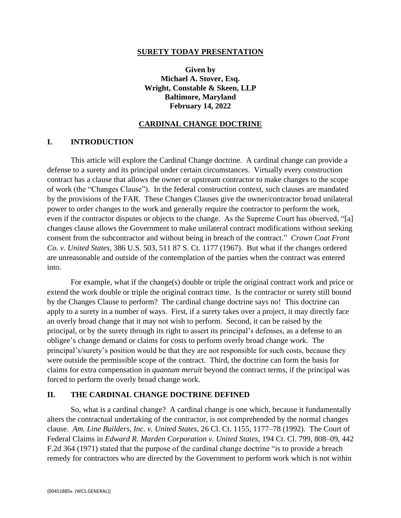### **SURETY TODAY PRESENTATION**

**Given by Michael A. Stover, Esq. Wright, Constable & Skeen, LLP Baltimore, Maryland February 14, 2022**

## **CARDINAL CHANGE DOCTRINE**

### **I. INTRODUCTION**

This article will explore the Cardinal Change doctrine. A cardinal change can provide a defense to a surety and its principal under certain circumstances. Virtually every construction contract has a clause that allows the owner or upstream contractor to make changes to the scope of work (the "Changes Clause"). In the federal construction context, such clauses are mandated by the provisions of the FAR. These Changes Clauses give the owner/contractor broad unilateral power to order changes to the work and generally require the contractor to perform the work, even if the contractor disputes or objects to the change. As the Supreme Court has observed, "[a] changes clause allows the Government to make unilateral contract modifications without seeking consent from the subcontractor and without being in breach of the contract." *Crown Coat Front Co. v. United States*, 386 U.S. 503, 511 87 S. Ct. 1177 (1967). But what if the changes ordered are unreasonable and outside of the contemplation of the parties when the contract was entered into.

For example, what if the change(s) double or triple the original contract work and price or extend the work double or triple the original contract time. Is the contractor or surety still bound by the Changes Clause to perform? The cardinal change doctrine says no! This doctrine can apply to a surety in a number of ways. First, if a surety takes over a project, it may directly face an overly broad change that it may not wish to perform. Second, it can be raised by the principal, or by the surety through its right to assert its principal's defenses, as a defense to an obligee's change demand or claims for costs to perform overly broad change work. The principal's/surety's position would be that they are not responsible for such costs, because they were outside the permissible scope of the contract. Third, the doctrine can form the basis for claims for extra compensation in *quantum meruit* beyond the contract terms, if the principal was forced to perform the overly broad change work.

### **II. THE CARDINAL CHANGE DOCTRINE DEFINED**

So, what is a cardinal change? A cardinal change is one which, because it fundamentally alters the contractual undertaking of the contractor, is not comprehended by the normal changes clause. *Am. Line Builders, Inc. v. United States*, 26 Cl. Ct. 1155, 1177–78 (1992). The Court of Federal Claims in *Edward R. Marden Corporation v. United States,* 194 Ct. Cl. 799, 808–09, 442 F.2d 364 (1971) stated that the purpose of the cardinal change doctrine "is to provide a breach remedy for contractors who are directed by the Government to perform work which is not within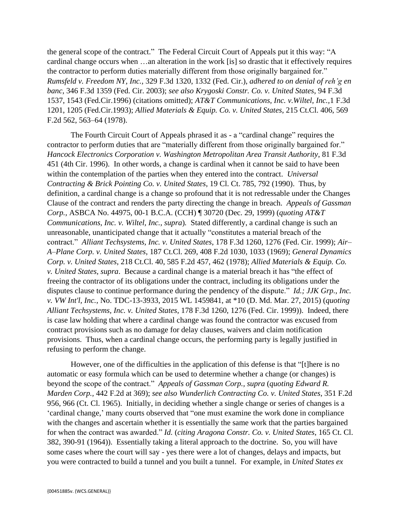the general scope of the contract." The Federal Circuit Court of Appeals put it this way: "A cardinal change occurs when …an alteration in the work [is] so drastic that it effectively requires the contractor to perform duties materially different from those originally bargained for." *Rumsfeld v. Freedom NY, Inc.,* 329 F.3d 1320, 1332 (Fed. Cir.), *adhered to on denial of reh'g en banc*, 346 F.3d 1359 (Fed. Cir. 2003); *see also Krygoski Constr. Co. v. United States*, 94 F.3d 1537, 1543 (Fed.Cir.1996) (citations omitted); *AT&T Communications, Inc. v.Wiltel, Inc.,*1 F.3d 1201, 1205 (Fed.Cir.1993); *Allied Materials & Equip. Co. v. United States*, 215 Ct.Cl. 406, 569 F.2d 562, 563–64 (1978).

The Fourth Circuit Court of Appeals phrased it as - a "cardinal change" requires the contractor to perform duties that are "materially different from those originally bargained for." *Hancock Electronics Corporation v. Washington Metropolitan Area Transit Authority*, 81 F.3d 451 (4th Cir. 1996). In other words, a change is cardinal when it cannot be said to have been within the contemplation of the parties when they entered into the contract. *Universal Contracting & Brick Pointing Co. v. United States*, 19 Cl. Ct. 785, 792 (1990). Thus, by definition, a cardinal change is a change so profound that it is not redressable under the Changes Clause of the contract and renders the party directing the change in breach. *Appeals of Gassman Corp.,* ASBCA No. 44975, 00-1 B.C.A. (CCH) ¶ 30720 (Dec. 29, 1999) (*quoting AT&T Communications, Inc. v. Wiltel, Inc., supra*)*.* Stated differently, a cardinal change is such an unreasonable, unanticipated change that it actually "constitutes a material breach of the contract." *Alliant Techsystems, Inc. v. United States*, 178 F.3d 1260, 1276 (Fed. Cir. 1999); *Air– A–Plane Corp. v. United States*, 187 Ct.Cl. 269, 408 F.2d 1030, 1033 (1969); *General Dynamics Corp. v. United States*, 218 Ct.Cl. 40, 585 F.2d 457, 462 (1978); *Allied Materials & Equip. Co. v. United States, supra*. Because a cardinal change is a material breach it has "the effect of freeing the contractor of its obligations under the contract, including its obligations under the disputes clause to continue performance during the pendency of the dispute." *Id.; JJK Grp., Inc. v. VW Int'l, Inc.*, No. TDC-13-3933, 2015 WL 1459841, at \*10 (D. Md. Mar. 27, 2015) (*quoting Alliant Techsystems, Inc. v. United States*, 178 F.3d 1260, 1276 (Fed. Cir. 1999)). Indeed, there is case law holding that where a cardinal change was found the contractor was excused from contract provisions such as no damage for delay clauses, waivers and claim notification provisions. Thus, when a cardinal change occurs, the performing party is legally justified in refusing to perform the change.

However, one of the difficulties in the application of this defense is that "[t]here is no automatic or easy formula which can be used to determine whether a change (or changes) is beyond the scope of the contract." *Appeals of Gassman Corp., supra* (*quoting Edward R. Marden Corp.,* 442 F.2d at 369); *see also Wunderlich Contracting Co. v. United States*, 351 F.2d 956, 966 (Ct. Cl. 1965). Initially, in deciding whether a single change or series of changes is a 'cardinal change,' many courts observed that "one must examine the work done in compliance with the changes and ascertain whether it is essentially the same work that the parties bargained for when the contract was awarded." *Id.* (*citing Aragona Constr. Co. v. United States*, 165 Ct. Cl. 382, 390-91 (1964)). Essentially taking a literal approach to the doctrine. So, you will have some cases where the court will say - yes there were a lot of changes, delays and impacts, but you were contracted to build a tunnel and you built a tunnel. For example, in *United States ex*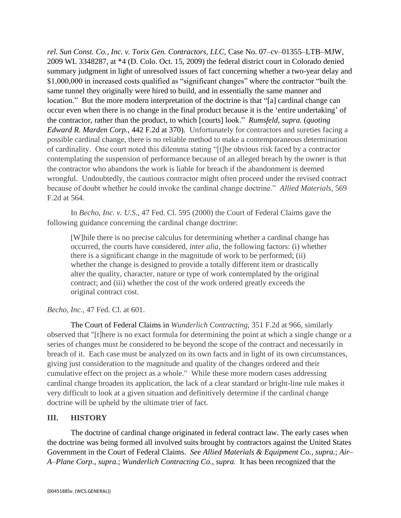*rel. Sun Const. Co., Inc. v. Torix Gen. Contractors, LLC,* Case No. 07–cv–01355–LTB–MJW, 2009 WL 3348287, at \*4 (D. Colo. Oct. 15, 2009) the federal district court in Colorado denied summary judgment in light of unresolved issues of fact concerning whether a two-year delay and \$1,000,000 in increased costs qualified as "significant changes" where the contractor "built the same tunnel they originally were hired to build, and in essentially the same manner and location." But the more modern interpretation of the doctrine is that "[a] cardinal change can occur even when there is no change in the final product because it is the 'entire undertaking' of the contractor, rather than the product, to which [courts] look." *Rumsfeld, supra.* (*quoting Edward R. Marden Corp.,* 442 F.2d at 370). Unfortunately for contractors and sureties facing a possible cardinal change, there is no reliable method to make a contemporaneous determination of cardinality. One court noted this dilemma stating "[t]he obvious risk faced by a contractor contemplating the suspension of performance because of an alleged breach by the owner is that the contractor who abandons the work is liable for breach if the abandonment is deemed wrongful. Undoubtedly, the cautious contractor might often proceed under the revised contract because of doubt whether he could invoke the cardinal change doctrine." *Allied Materials,* 569 F.2d at 564.

In *Becho, Inc. v. U.S.*, 47 Fed. Cl. 595 (2000) the Court of Federal Claims gave the following guidance concerning the cardinal change doctrine:

[W]hile there is no precise calculus for determining whether a cardinal change has occurred, the courts have considered, *inter alia*, the following factors: (i) whether there is a significant change in the magnitude of work to be performed; (ii) whether the change is designed to provide a totally different item or drastically alter the quality, character, nature or type of work contemplated by the original contract; and (iii) whether the cost of the work ordered greatly exceeds the original contract cost.

# *Becho, Inc.*, 47 Fed. Cl. at 601.

The Court of Federal Claims in *Wunderlich Contracting*, 351 F.2d at 966, similarly observed that "[t]here is no exact formula for determining the point at which a single change or a series of changes must be considered to be beyond the scope of the contract and necessarily in breach of it. Each case must be analyzed on its own facts and in light of its own circumstances, giving just consideration to the magnitude and quality of the changes ordered and their cumulative effect on the project as a whole." While these more modern cases addressing cardinal change broaden its application, the lack of a clear standard or bright-line rule makes it very difficult to look at a given situation and definitively determine if the cardinal change doctrine will be upheld by the ultimate trier of fact.

## **III. HISTORY**

The doctrine of cardinal change originated in federal contract law. The early cases when the doctrine was being formed all involved suits brought by contractors against the United States Government in the Court of Federal Claims. *See Allied Materials & Equipment Co., supra.*; *Air– A–Plane Corp., supra.*; *Wunderlich Contracting Co., supra.* It has been recognized that the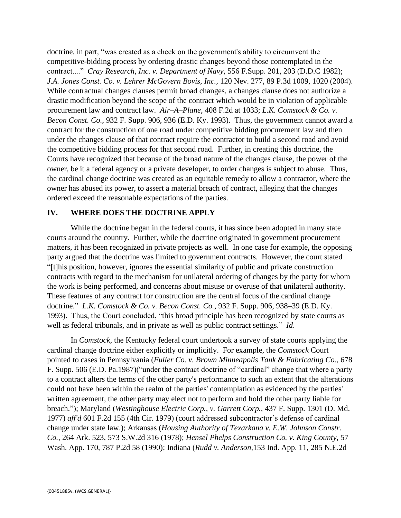doctrine, in part, "was created as a check on the government's ability to circumvent the competitive-bidding process by ordering drastic changes beyond those contemplated in the contract...." *Cray Research, Inc. v. Department of Navy,* 556 F.Supp. 201, 203 (D.D.C 1982); *J.A. Jones Const. Co. v. Lehrer McGovern Bovis, Inc.,* 120 Nev. 277, 89 P.3d 1009, 1020 (2004). While contractual changes clauses permit broad changes, a changes clause does not authorize a drastic modification beyond the scope of the contract which would be in violation of applicable procurement law and contract law. *Air–A–Plane,* 408 F.2d at 1033; *L.K. Comstock & Co. v. Becon Const. Co.*, 932 F. Supp. 906, 936 (E.D. Ky. 1993). Thus, the government cannot award a contract for the construction of one road under competitive bidding procurement law and then under the changes clause of that contract require the contractor to build a second road and avoid the competitive bidding process for that second road. Further, in creating this doctrine, the Courts have recognized that because of the broad nature of the changes clause, the power of the owner, be it a federal agency or a private developer, to order changes is subject to abuse. Thus, the cardinal change doctrine was created as an equitable remedy to allow a contractor, where the owner has abused its power, to assert a material breach of contract, alleging that the changes ordered exceed the reasonable expectations of the parties.

## **IV. WHERE DOES THE DOCTRINE APPLY**

While the doctrine began in the federal courts, it has since been adopted in many state courts around the country. Further, while the doctrine originated in government procurement matters, it has been recognized in private projects as well. In one case for example, the opposing party argued that the doctrine was limited to government contracts. However, the court stated "[t]his position, however, ignores the essential similarity of public and private construction contracts with regard to the mechanism for unilateral ordering of changes by the party for whom the work is being performed, and concerns about misuse or overuse of that unilateral authority. These features of any contract for construction are the central focus of the cardinal change doctrine." *L.K. Comstock & Co. v. Becon Const. Co.*, 932 F. Supp. 906, 938–39 (E.D. Ky. 1993). Thus, the Court concluded, "this broad principle has been recognized by state courts as well as federal tribunals, and in private as well as public contract settings." *Id*.

In *Comstock*, the Kentucky federal court undertook a survey of state courts applying the cardinal change doctrine either explicitly or implicitly. For example, the *Comstock* Court pointed to cases in Pennsylvania (*Fuller Co. v. Brown Minneapolis Tank & Fabricating Co.*, 678 F. Supp. 506 (E.D. Pa.1987)("under the contract doctrine of "cardinal" change that where a party to a contract alters the terms of the other party's performance to such an extent that the alterations could not have been within the realm of the parties' contemplation as evidenced by the parties' written agreement, the other party may elect not to perform and hold the other party liable for breach."); Maryland (*Westinghouse Electric Corp., v. Garrett Corp.,* 437 F. Supp. 1301 (D. Md. 1977) *aff'd* 601 F.2d 155 (4th Cir. 1979) (court addressed subcontractor's defense of cardinal change under state law.); Arkansas (*Housing Authority of Texarkana v. E.W. Johnson Constr. Co.,* 264 Ark. 523, 573 S.W.2d 316 (1978); *Hensel Phelps Construction Co. v. King County,* 57 Wash. App. 170, 787 P.2d 58 (1990); Indiana (*Rudd v. Anderson,*153 Ind. App. 11, 285 N.E.2d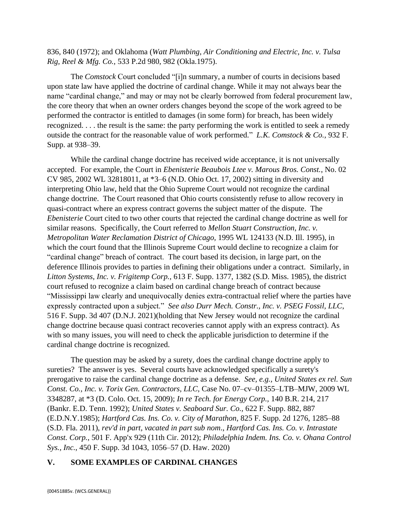836, 840 (1972); and Oklahoma (*Watt Plumbing, Air Conditioning and Electric, Inc. v. Tulsa Rig, Reel & Mfg. Co.,* 533 P.2d 980, 982 (Okla.1975).

The *Comstock* Court concluded "[i]n summary, a number of courts in decisions based upon state law have applied the doctrine of cardinal change. While it may not always bear the name "cardinal change," and may or may not be clearly borrowed from federal procurement law, the core theory that when an owner orders changes beyond the scope of the work agreed to be performed the contractor is entitled to damages (in some form) for breach, has been widely recognized. . . . the result is the same: the party performing the work is entitled to seek a remedy outside the contract for the reasonable value of work performed." *L.K. Comstock & Co.,* 932 F. Supp. at 938–39.

While the cardinal change doctrine has received wide acceptance, it is not universally accepted. For example, the Court in *Ebenisterie Beaubois Ltee v. Marous Bros. Const.*, No. 02 CV 985, 2002 WL 32818011, at \*3–6 (N.D. Ohio Oct. 17, 2002) sitting in diversity and interpreting Ohio law, held that the Ohio Supreme Court would not recognize the cardinal change doctrine. The Court reasoned that Ohio courts consistently refuse to allow recovery in quasi-contract where an express contract governs the subject matter of the dispute. The *Ebenisterie* Court cited to two other courts that rejected the cardinal change doctrine as well for similar reasons. Specifically, the Court referred to *Mellon Stuart Construction, Inc. v. Metropolitan Water Reclamation District of Chicago,* 1995 WL 124133 (N.D. Ill. 1995), in which the court found that the Illinois Supreme Court would decline to recognize a claim for "cardinal change" breach of contract. The court based its decision, in large part, on the deference Illinois provides to parties in defining their obligations under a contract. Similarly, in *Litton Systems, Inc. v. Frigitemp Corp.,* 613 F. Supp. 1377, 1382 (S.D. Miss. 1985), the district court refused to recognize a claim based on cardinal change breach of contract because "Mississippi law clearly and unequivocally denies extra-contractual relief where the parties have expressly contracted upon a subject." *See also Durr Mech. Constr., Inc. v. PSEG Fossil, LLC*, 516 F. Supp. 3d 407 (D.N.J. 2021)(holding that New Jersey would not recognize the cardinal change doctrine because quasi contract recoveries cannot apply with an express contract). As with so many issues, you will need to check the applicable jurisdiction to determine if the cardinal change doctrine is recognized.

The question may be asked by a surety, does the cardinal change doctrine apply to sureties? The answer is yes. Several courts have acknowledged specifically a surety's prerogative to raise the cardinal change doctrine as a defense. *See, e.g., United States ex rel. Sun Const. Co., Inc. v. Torix Gen. Contractors, LLC,* Case No. 07–cv–01355–LTB–MJW, 2009 WL 3348287, at \*3 (D. Colo. Oct. 15, 2009); *In re Tech. for Energy Corp.,* 140 B.R. 214, 217 (Bankr. E.D. Tenn. 1992); *United States v. Seaboard Sur. Co.,* 622 F. Supp. 882, 887 (E.D.N.Y.1985); *Hartford Cas. Ins. Co. v. City of Marathon*, 825 F. Supp. 2d 1276, 1285–88 (S.D. Fla. 2011), *rev'd in part, vacated in part sub nom*., *Hartford Cas. Ins. Co. v. Intrastate Const. Corp.*, 501 F. App'x 929 (11th Cir. 2012); *Philadelphia Indem. Ins. Co. v. Ohana Control Sys., Inc.*, 450 F. Supp. 3d 1043, 1056–57 (D. Haw. 2020)

### **V. SOME EXAMPLES OF CARDINAL CHANGES**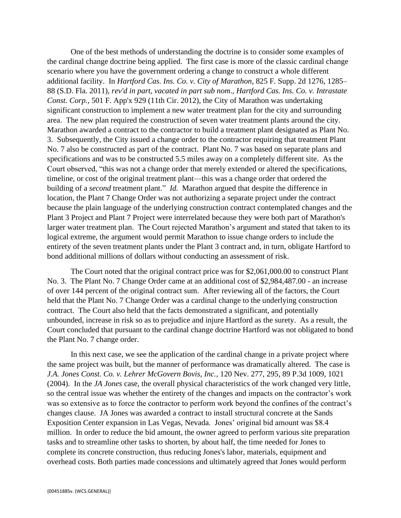One of the best methods of understanding the doctrine is to consider some examples of the cardinal change doctrine being applied. The first case is more of the classic cardinal change scenario where you have the government ordering a change to construct a whole different additional facility. In *Hartford Cas. Ins. Co. v. City of Marathon*, 825 F. Supp. 2d 1276, 1285– 88 (S.D. Fla. 2011), *rev'd in part, vacated in part sub nom*., *Hartford Cas. Ins. Co. v. Intrastate Const. Corp.*, 501 F. App'x 929 (11th Cir. 2012), the City of Marathon was undertaking significant construction to implement a new water treatment plan for the city and surrounding area. The new plan required the construction of seven water treatment plants around the city. Marathon awarded a contract to the contractor to build a treatment plant designated as Plant No. 3. Subsequently, the City issued a change order to the contractor requiring that treatment Plant No. 7 also be constructed as part of the contract. Plant No. 7 was based on separate plans and specifications and was to be constructed 5.5 miles away on a completely different site. As the Court observed, "this was not a change order that merely extended or altered the specifications, timeline, or cost of the original treatment plant—this was a change order that ordered the building of a *second* treatment plant." *Id.* Marathon argued that despite the difference in location, the Plant 7 Change Order was not authorizing a separate project under the contract because the plain language of the underlying construction contract contemplated changes and the Plant 3 Project and Plant 7 Project were interrelated because they were both part of Marathon's larger water treatment plan. The Court rejected Marathon's argument and stated that taken to its logical extreme, the argument would permit Marathon to issue change orders to include the entirety of the seven treatment plants under the Plant 3 contract and, in turn, obligate Hartford to bond additional millions of dollars without conducting an assessment of risk.

The Court noted that the original contract price was for \$2,061,000.00 to construct Plant No. 3. The Plant No. 7 Change Order came at an additional cost of \$2,984,487.00 - an increase of over 144 percent of the original contract sum. After reviewing all of the factors, the Court held that the Plant No. 7 Change Order was a cardinal change to the underlying construction contract. The Court also held that the facts demonstrated a significant, and potentially unbounded, increase in risk so as to prejudice and injure Hartford as the surety. As a result, the Court concluded that pursuant to the cardinal change doctrine Hartford was not obligated to bond the Plant No. 7 change order.

In this next case, we see the application of the cardinal change in a private project where the same project was built, but the manner of performance was dramatically altered. The case is *J.A. Jones Const. Co. v. Lehrer McGovern Bovis, Inc.*, 120 Nev. 277, 295, 89 P.3d 1009, 1021 (2004). In the *JA Jones* case, the overall physical characteristics of the work changed very little, so the central issue was whether the entirety of the changes and impacts on the contractor's work was so extensive as to force the contractor to perform work beyond the confines of the contract's changes clause. JA Jones was awarded a contract to install structural concrete at the Sands Exposition Center expansion in Las Vegas, Nevada. Jones' original bid amount was \$8.4 million. In order to reduce the bid amount, the owner agreed to perform various site preparation tasks and to streamline other tasks to shorten, by about half, the time needed for Jones to complete its concrete construction, thus reducing Jones's labor, materials, equipment and overhead costs. Both parties made concessions and ultimately agreed that Jones would perform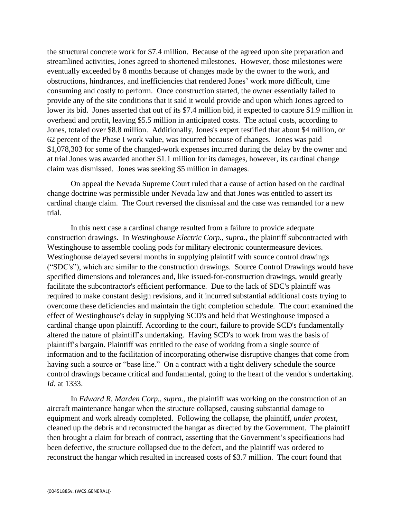the structural concrete work for \$7.4 million. Because of the agreed upon site preparation and streamlined activities, Jones agreed to shortened milestones. However, those milestones were eventually exceeded by 8 months because of changes made by the owner to the work, and obstructions, hindrances, and inefficiencies that rendered Jones' work more difficult, time consuming and costly to perform. Once construction started, the owner essentially failed to provide any of the site conditions that it said it would provide and upon which Jones agreed to lower its bid. Jones asserted that out of its \$7.4 million bid, it expected to capture \$1.9 million in overhead and profit, leaving \$5.5 million in anticipated costs. The actual costs, according to Jones, totaled over \$8.8 million. Additionally, Jones's expert testified that about \$4 million, or 62 percent of the Phase I work value, was incurred because of changes. Jones was paid \$1,078,303 for some of the changed-work expenses incurred during the delay by the owner and at trial Jones was awarded another \$1.1 million for its damages, however, its cardinal change claim was dismissed. Jones was seeking \$5 million in damages.

On appeal the Nevada Supreme Court ruled that a cause of action based on the cardinal change doctrine was permissible under Nevada law and that Jones was entitled to assert its cardinal change claim. The Court reversed the dismissal and the case was remanded for a new trial.

In this next case a cardinal change resulted from a failure to provide adequate construction drawings. In *Westinghouse Electric Corp., supra.*, the plaintiff subcontracted with Westinghouse to assemble cooling pods for military electronic countermeasure devices. Westinghouse delayed several months in supplying plaintiff with source control drawings ("SDC's"), which are similar to the construction drawings. Source Control Drawings would have specified dimensions and tolerances and, like issued-for-construction drawings, would greatly facilitate the subcontractor's efficient performance. Due to the lack of SDC's plaintiff was required to make constant design revisions, and it incurred substantial additional costs trying to overcome these deficiencies and maintain the tight completion schedule. The court examined the effect of Westinghouse's delay in supplying SCD's and held that Westinghouse imposed a cardinal change upon plaintiff. According to the court, failure to provide SCD's fundamentally altered the nature of plaintiff's undertaking*.* Having SCD's to work from was the basis of plaintiff's bargain. Plaintiff was entitled to the ease of working from a single source of information and to the facilitation of incorporating otherwise disruptive changes that come from having such a source or "base line." On a contract with a tight delivery schedule the source control drawings became critical and fundamental, going to the heart of the vendor's undertaking. *Id.* at 1333.

In *Edward R. Marden Corp., supra.,* the plaintiff was working on the construction of an aircraft maintenance hangar when the structure collapsed, causing substantial damage to equipment and work already completed. Following the collapse, the plaintiff, *under protest*, cleaned up the debris and reconstructed the hangar as directed by the Government. The plaintiff then brought a claim for breach of contract, asserting that the Government's specifications had been defective, the structure collapsed due to the defect, and the plaintiff was ordered to reconstruct the hangar which resulted in increased costs of \$3.7 million. The court found that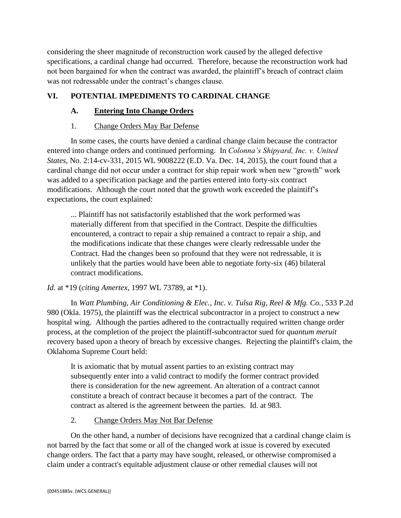considering the sheer magnitude of reconstruction work caused by the alleged defective specifications, a cardinal change had occurred. Therefore, because the reconstruction work had not been bargained for when the contract was awarded, the plaintiff's breach of contract claim was not redressable under the contract's changes clause.

# **VI. POTENTIAL IMPEDIMENTS TO CARDINAL CHANGE**

# **A. Entering Into Change Orders**

# 1. Change Orders May Bar Defense

In some cases, the courts have denied a cardinal change claim because the contractor entered into change orders and continued performing. In *Colonna's Shipyard, Inc. v. United States*, No. 2:14-cv-331, 2015 WL 9008222 (E.D. Va. Dec. 14, 2015), the court found that a cardinal change did not occur under a contract for ship repair work when new "growth" work was added to a specification package and the parties entered into forty-six contract modifications. Although the court noted that the growth work exceeded the plaintiff's expectations, the court explained:

... Plaintiff has not satisfactorily established that the work performed was materially different from that specified in the Contract. Despite the difficulties encountered, a contract to repair a ship remained a contract to repair a ship, and the modifications indicate that these changes were clearly redressable under the Contract. Had the changes been so profound that they were not redressable, it is unlikely that the parties would have been able to negotiate forty-six (46) bilateral contract modifications.

# *Id.* at \*19 (*citing Amertex*, 1997 WL 73789, at \*1).

In *Watt Plumbing, Air Conditioning & Elec., Inc. v. Tulsa Rig, Reel & Mfg. Co.*, 533 P.2d 980 (Okla. 1975), the plaintiff was the electrical subcontractor in a project to construct a new hospital wing. Although the parties adhered to the contractually required written change order process, at the completion of the project the plaintiff-subcontractor sued for *quantum meruit* recovery based upon a theory of breach by excessive changes. Rejecting the plaintiff's claim, the Oklahoma Supreme Court held:

It is axiomatic that by mutual assent parties to an existing contract may subsequently enter into a valid contract to modify the former contract provided there is consideration for the new agreement. An alteration of a contract cannot constitute a breach of contract because it becomes a part of the contract. The contract as altered is the agreement between the parties. Id. at 983.

# 2. Change Orders May Not Bar Defense

On the other hand, a number of decisions have recognized that a cardinal change claim is not barred by the fact that some or all of the changed work at issue is covered by executed change orders. The fact that a party may have sought, released, or otherwise compromised a claim under a contract's equitable adjustment clause or other remedial clauses will not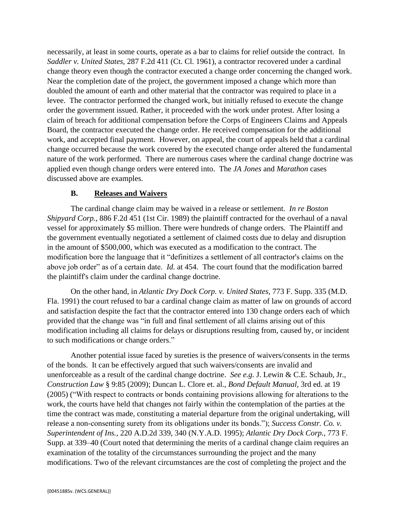necessarily, at least in some courts, operate as a bar to claims for relief outside the contract. In *Saddler v. United States,* 287 F.2d 411 (Ct. Cl. 1961), a contractor recovered under a cardinal change theory even though the contractor executed a change order concerning the changed work. Near the completion date of the project, the government imposed a change which more than doubled the amount of earth and other material that the contractor was required to place in a levee. The contractor performed the changed work, but initially refused to execute the change order the government issued. Rather, it proceeded with the work under protest. After losing a claim of breach for additional compensation before the Corps of Engineers Claims and Appeals Board, the contractor executed the change order. He received compensation for the additional work, and accepted final payment. However, on appeal, the court of appeals held that a cardinal change occurred because the work covered by the executed change order altered the fundamental nature of the work performed. There are numerous cases where the cardinal change doctrine was applied even though change orders were entered into. The *JA Jones* and *Marathon* cases discussed above are examples.

## **B. Releases and Waivers**

The cardinal change claim may be waived in a release or settlement. *In re Boston Shipyard Corp.*, 886 F.2d 451 (1st Cir. 1989) the plaintiff contracted for the overhaul of a naval vessel for approximately \$5 million. There were hundreds of change orders. The Plaintiff and the government eventually negotiated a settlement of claimed costs due to delay and disruption in the amount of \$500,000, which was executed as a modification to the contract. The modification bore the language that it "definitizes a settlement of all contractor's claims on the above job order" as of a certain date. *Id.* at 454. The court found that the modification barred the plaintiff's claim under the cardinal change doctrine.

On the other hand, in *Atlantic Dry Dock Corp. v. United States,* 773 F. Supp. 335 (M.D. Fla. 1991) the court refused to bar a cardinal change claim as matter of law on grounds of accord and satisfaction despite the fact that the contractor entered into 130 change orders each of which provided that the change was "in full and final settlement of all claims arising out of this modification including all claims for delays or disruptions resulting from, caused by, or incident to such modifications or change orders."

Another potential issue faced by sureties is the presence of waivers/consents in the terms of the bonds. It can be effectively argued that such waivers/consents are invalid and unenforceable as a result of the cardinal change doctrine. *See e.g.* J. Lewin & C.E. Schaub, Jr., *Construction Law* § 9:85 (2009); Duncan L. Clore et. al., *Bond Default Manual,* 3rd ed. at 19 (2005) ("With respect to contracts or bonds containing provisions allowing for alterations to the work, the courts have held that changes not fairly within the contemplation of the parties at the time the contract was made, constituting a material departure from the original undertaking, will release a non-consenting surety from its obligations under its bonds."); *Success Constr. Co. v. Superintendent of Ins.,* 220 A.D.2d 339, 340 (N.Y.A.D. 1995); *Atlantic Dry Dock Corp.,* 773 F. Supp. at 339–40 (Court noted that determining the merits of a cardinal change claim requires an examination of the totality of the circumstances surrounding the project and the many modifications. Two of the relevant circumstances are the cost of completing the project and the